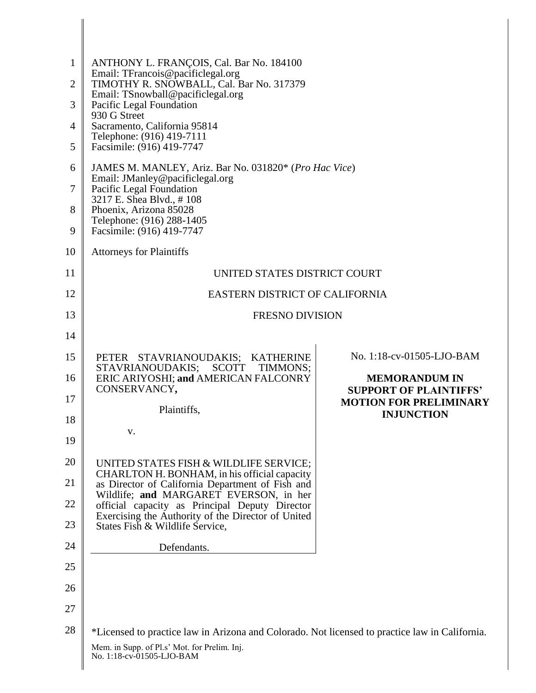| $\mathbf{1}$<br>$\overline{2}$ | ANTHONY L. FRANÇOIS, Cal. Bar No. 184100<br>Email: TFrancois@pacificlegal.org<br>TIMOTHY R. SNOWBALL, Cal. Bar No. 317379 |                                                       |
|--------------------------------|---------------------------------------------------------------------------------------------------------------------------|-------------------------------------------------------|
| 3                              | Email: TSnowball@pacificlegal.org<br>Pacific Legal Foundation                                                             |                                                       |
| $\overline{4}$                 | 930 G Street<br>Sacramento, California 95814                                                                              |                                                       |
| 5                              | Telephone: (916) 419-7111<br>Facsimile: (916) 419-7747                                                                    |                                                       |
| 6                              | JAMES M. MANLEY, Ariz. Bar No. 031820* (Pro Hac Vice)                                                                     |                                                       |
| 7                              | Email: JManley@pacificlegal.org<br>Pacific Legal Foundation<br>3217 E. Shea Blvd., #108                                   |                                                       |
| 8<br>9                         | Phoenix, Arizona 85028<br>Telephone: (916) 288-1405<br>Facsimile: (916) 419-7747                                          |                                                       |
| 10                             | <b>Attorneys for Plaintiffs</b>                                                                                           |                                                       |
| 11                             | UNITED STATES DISTRICT COURT                                                                                              |                                                       |
| 12                             | EASTERN DISTRICT OF CALIFORNIA                                                                                            |                                                       |
| 13                             | <b>FRESNO DIVISION</b>                                                                                                    |                                                       |
| 14                             |                                                                                                                           |                                                       |
| 15                             | PETER STAVRIANOUDAKIS; KATHERINE<br>STAVRIANOUDAKIS;<br>SCOTT<br>TIMMONS;                                                 | No. 1:18-cv-01505-LJO-BAM                             |
| 16                             | ERIC ARIYOSHI; and AMERICAN FALCONRY<br>CONSERVANCY,                                                                      | <b>MEMORANDUM IN</b><br><b>SUPPORT OF PLAINTIFFS'</b> |
| 17                             | Plaintiffs,                                                                                                               | <b>MOTION FOR PRELIMINARY</b>                         |
| 18                             | v.                                                                                                                        | <b>INJUNCTION</b>                                     |
| 19                             |                                                                                                                           |                                                       |
| 20                             | UNITED STATES FISH & WILDLIFE SERVICE;<br>CHARLTON H. BONHAM, in his official capacity                                    |                                                       |
| 21                             | as Director of California Department of Fish and<br>Wildlife; and MARGARET EVERSON, in her                                |                                                       |
| 22                             | official capacity as Principal Deputy Director<br>Exercising the Authority of the Director of United                      |                                                       |
| 23                             | States Fish & Wildlife Service,                                                                                           |                                                       |
| 24                             | Defendants.                                                                                                               |                                                       |
| 25                             |                                                                                                                           |                                                       |
| 26                             |                                                                                                                           |                                                       |
| 27                             |                                                                                                                           |                                                       |
| 28                             | *Licensed to practice law in Arizona and Colorado. Not licensed to practice law in California.                            |                                                       |
|                                | Mem. in Supp. of Pl.s' Mot. for Prelim. Inj.<br>No. 1:18-cv-01505-LJO-BAM                                                 |                                                       |

∥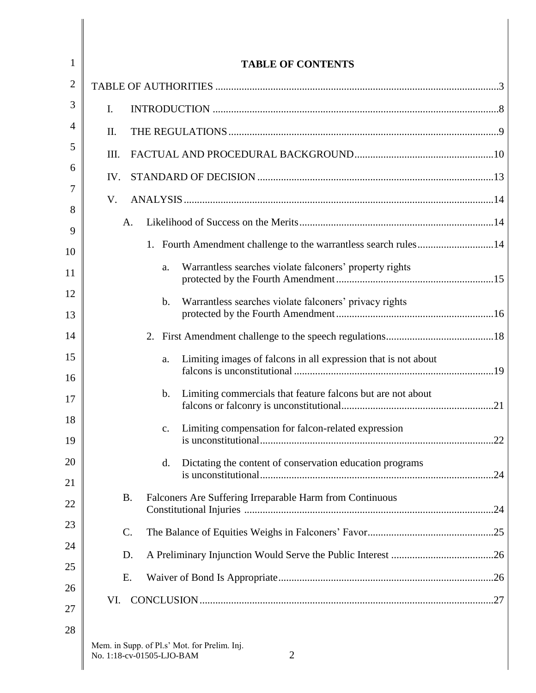| $\mathbf{1}$ | <b>TABLE OF CONTENTS</b>                                                                    |
|--------------|---------------------------------------------------------------------------------------------|
| 2            |                                                                                             |
| 3            | I.                                                                                          |
| 4            | Π.                                                                                          |
| 5            | III.                                                                                        |
| 6            | IV.                                                                                         |
| 7            | V.                                                                                          |
| 8<br>9       | A.                                                                                          |
| 10           | Fourth Amendment challenge to the warrantless search rules14<br>1.                          |
| 11           | Warrantless searches violate falconers' property rights<br>a.                               |
| 12<br>13     | Warrantless searches violate falconers' privacy rights<br>b.                                |
| 14           | 2.                                                                                          |
| 15           | Limiting images of falcons in all expression that is not about<br>a.                        |
| 16<br>17     | Limiting commercials that feature falcons but are not about<br>b.                           |
| 18<br>19     | Limiting compensation for falcon-related expression<br>$C_{\bullet}$                        |
| 20           | Dictating the content of conservation education programs<br>d.                              |
| 21<br>22     | <b>B.</b><br>Falconers Are Suffering Irreparable Harm from Continuous                       |
| 23           | $\mathcal{C}$ .                                                                             |
| 24           | D.                                                                                          |
| 25           | Е.                                                                                          |
| 26           | VI.                                                                                         |
| 27           |                                                                                             |
| 28           | Mem. in Supp. of Pl.s' Mot. for Prelim. Inj.<br>No. 1:18-cv-01505-LJO-BAM<br>$\overline{2}$ |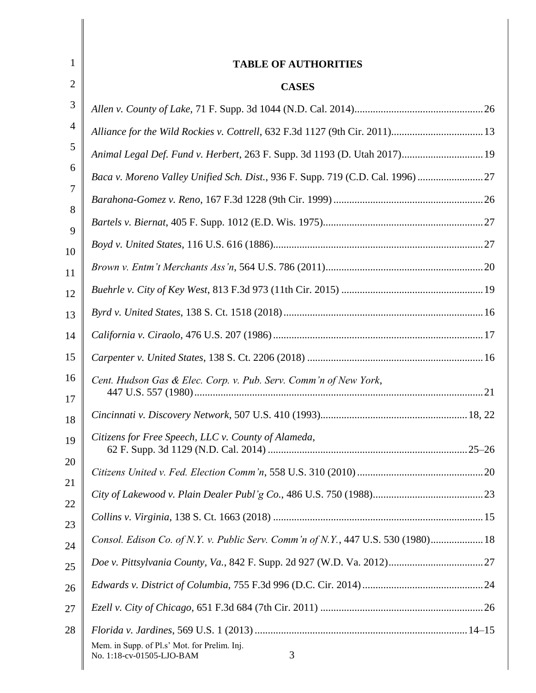| 1              | <b>TABLE OF AUTHORITIES</b>                                                       |  |
|----------------|-----------------------------------------------------------------------------------|--|
| $\overline{2}$ | <b>CASES</b>                                                                      |  |
| 3              |                                                                                   |  |
| $\overline{4}$ |                                                                                   |  |
| 5              | Animal Legal Def. Fund v. Herbert, 263 F. Supp. 3d 1193 (D. Utah 2017) 19         |  |
| 6              | Baca v. Moreno Valley Unified Sch. Dist., 936 F. Supp. 719 (C.D. Cal. 1996)  27   |  |
| 7              |                                                                                   |  |
| 8<br>9         |                                                                                   |  |
| 10             |                                                                                   |  |
| 11             |                                                                                   |  |
| 12             |                                                                                   |  |
| 13             |                                                                                   |  |
| 14             |                                                                                   |  |
| 15             |                                                                                   |  |
| 16             | Cent. Hudson Gas & Elec. Corp. v. Pub. Serv. Comm'n of New York,                  |  |
| 17<br>18       |                                                                                   |  |
| 19             | Citizens for Free Speech, LLC v. County of Alameda,                               |  |
| 20             |                                                                                   |  |
| 21             |                                                                                   |  |
| 22             |                                                                                   |  |
| 23             | Consol. Edison Co. of N.Y. v. Public Serv. Comm'n of N.Y., 447 U.S. 530 (1980) 18 |  |
| 24<br>25       |                                                                                   |  |
| 26             |                                                                                   |  |
| 27             |                                                                                   |  |
| 28             | Mem. in Supp. of Pl.s' Mot. for Prelim. Inj.<br>3<br>No. 1:18-cv-01505-LJO-BAM    |  |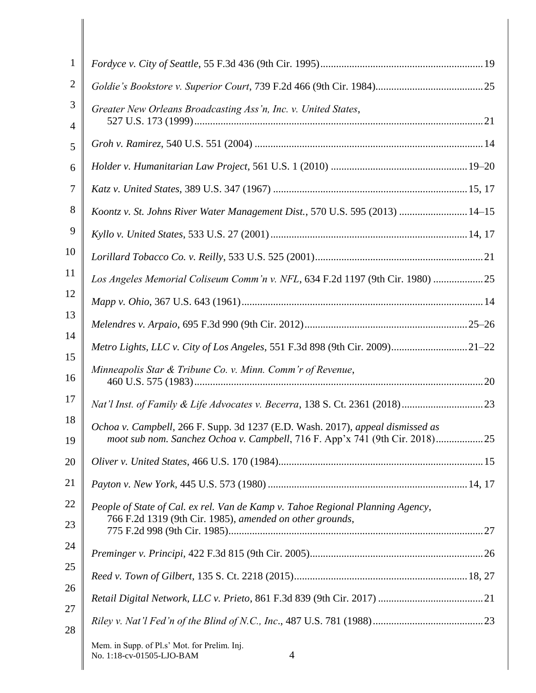| $\mathbf{1}$   |                                                                                                                                                                   |
|----------------|-------------------------------------------------------------------------------------------------------------------------------------------------------------------|
| $\overline{2}$ |                                                                                                                                                                   |
| 3              | Greater New Orleans Broadcasting Ass'n, Inc. v. United States,                                                                                                    |
| 4              |                                                                                                                                                                   |
| 5              |                                                                                                                                                                   |
| 6              |                                                                                                                                                                   |
| 7              |                                                                                                                                                                   |
| 8              | Koontz v. St. Johns River Water Management Dist., 570 U.S. 595 (2013)  14-15                                                                                      |
| 9              |                                                                                                                                                                   |
| 10             |                                                                                                                                                                   |
| 11             | Los Angeles Memorial Coliseum Comm'n v. NFL, 634 F.2d 1197 (9th Cir. 1980) 25                                                                                     |
| 12             |                                                                                                                                                                   |
| 13             |                                                                                                                                                                   |
| 14<br>15       | Metro Lights, LLC v. City of Los Angeles, 551 F.3d 898 (9th Cir. 2009)21-22                                                                                       |
| 16             | Minneapolis Star & Tribune Co. v. Minn. Comm'r of Revenue,                                                                                                        |
| 17             |                                                                                                                                                                   |
| 18<br>19       | Ochoa v. Campbell, 266 F. Supp. 3d 1237 (E.D. Wash. 2017), appeal dismissed as<br>moot sub nom. Sanchez Ochoa v. Campbell, 716 F. App'x 741 (9th Cir. 2018)<br>25 |
| 20             |                                                                                                                                                                   |
| 21             |                                                                                                                                                                   |
| 22<br>23       | People of State of Cal. ex rel. Van de Kamp v. Tahoe Regional Planning Agency,<br>766 F.2d 1319 (9th Cir. 1985), amended on other grounds,                        |
| 24             |                                                                                                                                                                   |
| 25             |                                                                                                                                                                   |
|                |                                                                                                                                                                   |
| 26             |                                                                                                                                                                   |
| 27<br>28       |                                                                                                                                                                   |
|                | Mem. in Supp. of Pl.s' Mot. for Prelim. Inj.<br>4<br>No. 1:18-cv-01505-LJO-BAM                                                                                    |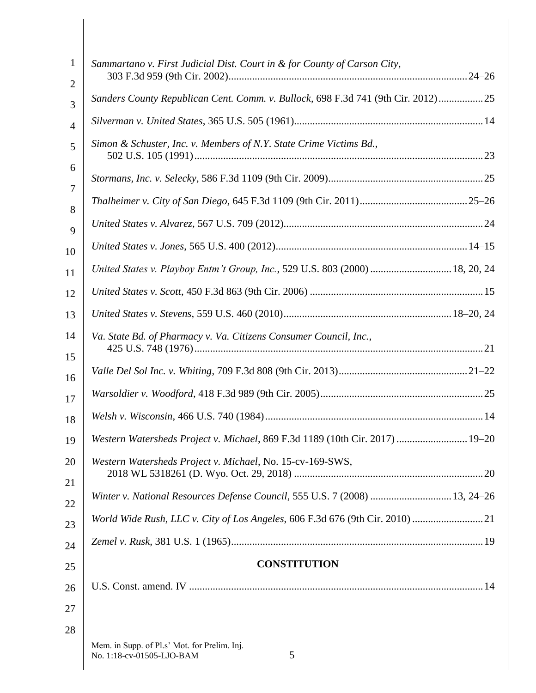| 1<br>$\overline{2}$ | Sammartano v. First Judicial Dist. Court in & for County of Carson City,         |
|---------------------|----------------------------------------------------------------------------------|
| 3                   | Sanders County Republican Cent. Comm. v. Bullock, 698 F.3d 741 (9th Cir. 2012)25 |
| $\overline{4}$      |                                                                                  |
| 5                   | Simon & Schuster, Inc. v. Members of N.Y. State Crime Victims Bd.,               |
| 6                   |                                                                                  |
| 7<br>8              |                                                                                  |
| 9                   |                                                                                  |
| 10                  |                                                                                  |
| 11                  | United States v. Playboy Entm't Group, Inc., 529 U.S. 803 (2000)  18, 20, 24     |
| 12                  |                                                                                  |
| 13                  |                                                                                  |
| 14<br>15            | Va. State Bd. of Pharmacy v. Va. Citizens Consumer Council, Inc.,                |
| 16                  |                                                                                  |
| 17                  |                                                                                  |
| 18                  |                                                                                  |
| 19                  | Western Watersheds Project v. Michael, 869 F.3d 1189 (10th Cir. 2017)  19–20     |
| 20                  | Western Watersheds Project v. Michael, No. 15-cv-169-SWS,                        |
| 21                  | Winter v. National Resources Defense Council, 555 U.S. 7 (2008)  13, 24-26       |
| 22                  |                                                                                  |
| 23                  |                                                                                  |
| 24                  | <b>CONSTITUTION</b>                                                              |
| 25                  |                                                                                  |
| 26                  |                                                                                  |
| 27                  |                                                                                  |
| 28                  | Mem. in Supp. of Pl.s' Mot. for Prelim. Inj.<br>No. 1:18-cv-01505-LJO-BAM<br>5   |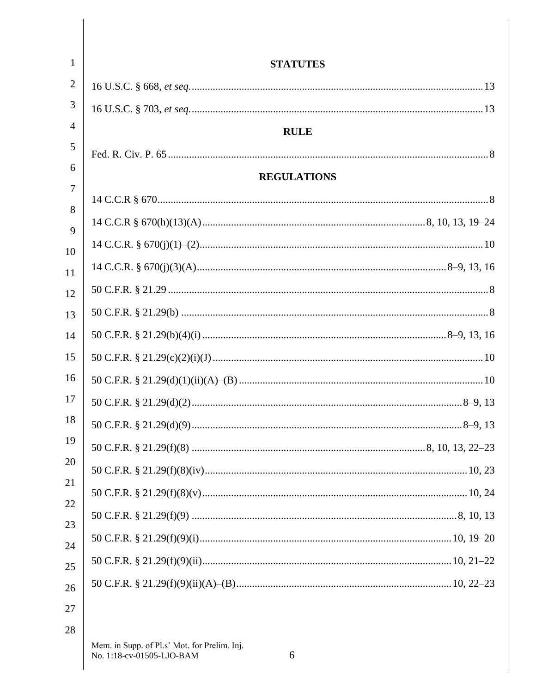| 1              | <b>STATUTES</b>                                                                |
|----------------|--------------------------------------------------------------------------------|
| $\overline{2}$ |                                                                                |
| 3              |                                                                                |
| 4              | <b>RULE</b>                                                                    |
| 5              |                                                                                |
| 6              | <b>REGULATIONS</b>                                                             |
| 7              |                                                                                |
| 8<br>9         |                                                                                |
| 10             |                                                                                |
| 11             |                                                                                |
| 12             |                                                                                |
| 13             |                                                                                |
| 14             |                                                                                |
| 15             |                                                                                |
| 16             |                                                                                |
| 17             |                                                                                |
| 18             |                                                                                |
| 19             |                                                                                |
| 20             |                                                                                |
| 21             |                                                                                |
| 22             |                                                                                |
| 23<br>24       |                                                                                |
| 25             |                                                                                |
| 26             |                                                                                |
| 27             |                                                                                |
| 28             |                                                                                |
|                | Mem. in Supp. of Pl.s' Mot. for Prelim. Inj.<br>No. 1:18-cv-01505-LJO-BAM<br>6 |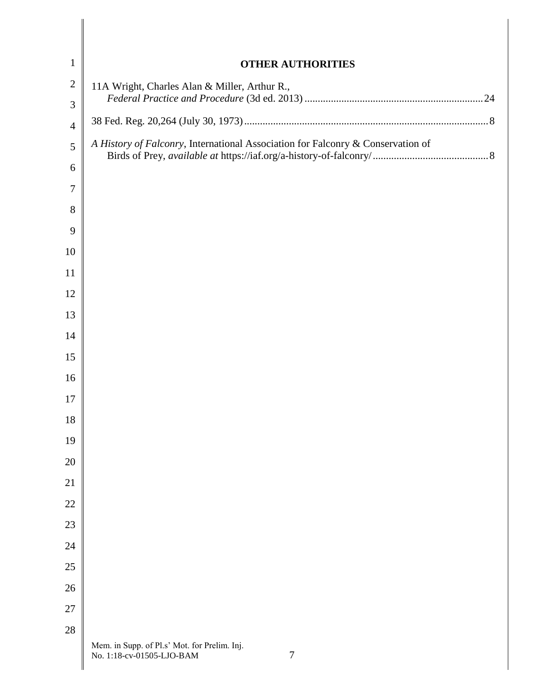| $\mathbf{1}$        | <b>OTHER AUTHORITIES</b>                                                            |
|---------------------|-------------------------------------------------------------------------------------|
| $\overline{2}$      | 11A Wright, Charles Alan & Miller, Arthur R.,                                       |
| 3                   |                                                                                     |
| $\overline{4}$      | A History of Falconry, International Association for Falconry & Conservation of     |
| 5                   |                                                                                     |
| 6<br>$\overline{7}$ |                                                                                     |
| 8                   |                                                                                     |
| 9                   |                                                                                     |
| 10                  |                                                                                     |
| 11                  |                                                                                     |
| 12                  |                                                                                     |
| 13                  |                                                                                     |
| 14                  |                                                                                     |
| 15                  |                                                                                     |
| 16                  |                                                                                     |
| 17                  |                                                                                     |
| 18                  |                                                                                     |
| 19                  |                                                                                     |
| 20                  |                                                                                     |
| 21                  |                                                                                     |
| 22                  |                                                                                     |
| 23                  |                                                                                     |
| 24                  |                                                                                     |
| 25                  |                                                                                     |
| 26                  |                                                                                     |
| 27                  |                                                                                     |
| 28                  |                                                                                     |
|                     | Mem. in Supp. of Pl.s' Mot. for Prelim. Inj.<br>$\tau$<br>No. 1:18-cv-01505-LJO-BAM |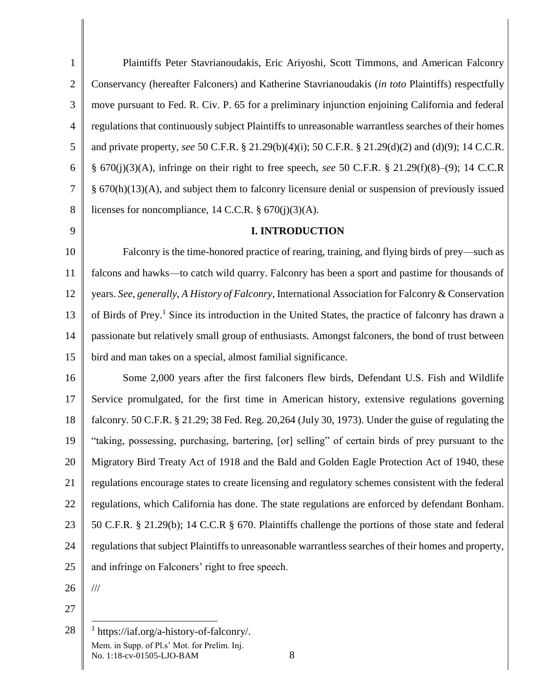1 2 3 4 5 6 7 8 Plaintiffs Peter Stavrianoudakis, Eric Ariyoshi, Scott Timmons, and American Falconry Conservancy (hereafter Falconers) and Katherine Stavrianoudakis (*in toto* Plaintiffs) respectfully move pursuant to Fed. R. Civ. P. 65 for a preliminary injunction enjoining California and federal regulations that continuously subject Plaintiffs to unreasonable warrantless searches of their homes and private property, *see* 50 C.F.R. § 21.29(b)(4)(i); 50 C.F.R. § 21.29(d)(2) and (d)(9); 14 C.C.R. § 670(j)(3)(A), infringe on their right to free speech, *see* 50 C.F.R. § 21.29(f)(8)–(9); 14 C.C.R § 670(h)(13)(A), and subject them to falconry licensure denial or suspension of previously issued licenses for noncompliance, 14 C.C.R.  $\S 670(j)(3)(A)$ .

9

## **I. INTRODUCTION**

10 11 12 13 14 15 Falconry is the time-honored practice of rearing, training, and flying birds of prey—such as falcons and hawks—to catch wild quarry. Falconry has been a sport and pastime for thousands of years. *See, generally*, *A History of Falconry*, International Association for Falconry & Conservation of Birds of Prey. <sup>1</sup> Since its introduction in the United States, the practice of falconry has drawn a passionate but relatively small group of enthusiasts. Amongst falconers, the bond of trust between bird and man takes on a special, almost familial significance.

16 17 18 19 20 21 22 23 24 25 Some 2,000 years after the first falconers flew birds, Defendant U.S. Fish and Wildlife Service promulgated, for the first time in American history, extensive regulations governing falconry. 50 C.F.R. § 21.29; 38 Fed. Reg. 20,264 (July 30, 1973). Under the guise of regulating the "taking, possessing, purchasing, bartering, [or] selling" of certain birds of prey pursuant to the Migratory Bird Treaty Act of 1918 and the Bald and Golden Eagle Protection Act of 1940, these regulations encourage states to create licensing and regulatory schemes consistent with the federal regulations, which California has done. The state regulations are enforced by defendant Bonham. 50 C.F.R. § 21.29(b); 14 C.C.R § 670. Plaintiffs challenge the portions of those state and federal regulations that subject Plaintiffs to unreasonable warrantless searches of their homes and property, and infringe on Falconers' right to free speech.

26

///

 $\overline{a}$ 

27

28 Mem. in Supp. of Pl.s' Mot. for Prelim. Inj. No. 1:18-cv-01505-LJO-BAM 8 1 https://iaf.org/a-history-of-falconry/.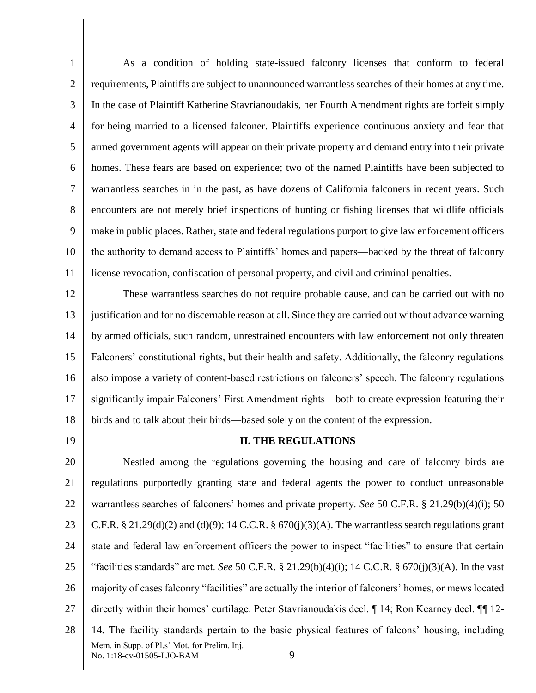1 2 3 4 5 6 7 8 9 10 11 As a condition of holding state-issued falconry licenses that conform to federal requirements, Plaintiffs are subject to unannounced warrantless searches of their homes at any time. In the case of Plaintiff Katherine Stavrianoudakis, her Fourth Amendment rights are forfeit simply for being married to a licensed falconer. Plaintiffs experience continuous anxiety and fear that armed government agents will appear on their private property and demand entry into their private homes. These fears are based on experience; two of the named Plaintiffs have been subjected to warrantless searches in in the past, as have dozens of California falconers in recent years. Such encounters are not merely brief inspections of hunting or fishing licenses that wildlife officials make in public places. Rather, state and federal regulations purport to give law enforcement officers the authority to demand access to Plaintiffs' homes and papers—backed by the threat of falconry license revocation, confiscation of personal property, and civil and criminal penalties.

12 13 14 15 16 17 18 These warrantless searches do not require probable cause, and can be carried out with no justification and for no discernable reason at all. Since they are carried out without advance warning by armed officials, such random, unrestrained encounters with law enforcement not only threaten Falconers' constitutional rights, but their health and safety. Additionally, the falconry regulations also impose a variety of content-based restrictions on falconers' speech. The falconry regulations significantly impair Falconers' First Amendment rights—both to create expression featuring their birds and to talk about their birds—based solely on the content of the expression.

19

## **II. THE REGULATIONS**

20 21 22 23 24 25 26 27 28 Mem. in Supp. of Pl.s' Mot. for Prelim. Inj. No. 1:18-cv-01505-LJO-BAM 9 Nestled among the regulations governing the housing and care of falconry birds are regulations purportedly granting state and federal agents the power to conduct unreasonable warrantless searches of falconers' homes and private property. *See* 50 C.F.R. § 21.29(b)(4)(i); 50 C.F.R. § 21.29(d)(2) and (d)(9); 14 C.C.R. § 670(j)(3)(A). The warrantless search regulations grant state and federal law enforcement officers the power to inspect "facilities" to ensure that certain "facilities standards" are met. *See* 50 C.F.R.  $\S$  21.29(b)(4)(i); 14 C.C.R.  $\S$  670(j)(3)(A). In the vast majority of cases falconry "facilities" are actually the interior of falconers' homes, or mews located directly within their homes' curtilage. Peter Stavrianoudakis decl. ¶ 14; Ron Kearney decl. ¶¶ 12- 14. The facility standards pertain to the basic physical features of falcons' housing, including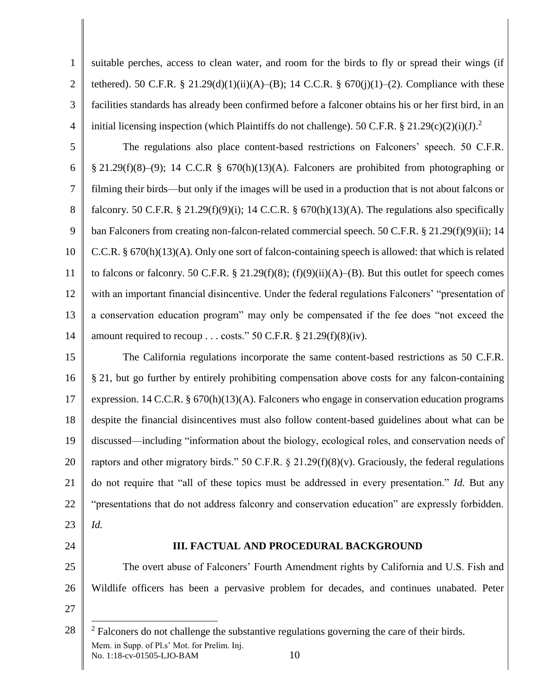1 2 3 4 suitable perches, access to clean water, and room for the birds to fly or spread their wings (if tethered). 50 C.F.R. § 21.29(d)(1)(ii)(A)–(B); 14 C.C.R. §  $670(j)(1)$ –(2). Compliance with these facilities standards has already been confirmed before a falconer obtains his or her first bird, in an initial licensing inspection (which Plaintiffs do not challenge). 50 C.F.R. § 21.29(c)(2)(i)(J).<sup>2</sup>

5 6 7 8 9 10 11 12 13 14 The regulations also place content-based restrictions on Falconers' speech. 50 C.F.R.  $§$  21.29(f)(8)–(9); 14 C.C.R § 670(h)(13)(A). Falconers are prohibited from photographing or filming their birds—but only if the images will be used in a production that is not about falcons or falconry. 50 C.F.R. § 21.29(f)(9)(i); 14 C.C.R. § 670(h)(13)(A). The regulations also specifically ban Falconers from creating non-falcon-related commercial speech. 50 C.F.R. § 21.29(f)(9)(ii); 14 C.C.R. § 670(h)(13)(A). Only one sort of falcon-containing speech is allowed: that which is related to falcons or falconry. 50 C.F.R. § 21.29(f)(8); (f)(9)(ii)(A)–(B). But this outlet for speech comes with an important financial disincentive. Under the federal regulations Falconers' "presentation of a conservation education program" may only be compensated if the fee does "not exceed the amount required to recoup . . . costs." 50 C.F.R.  $\S 21.29(f)(8)(iv)$ .

15 16 17 18 19 20 21 22 23 The California regulations incorporate the same content-based restrictions as 50 C.F.R. § 21, but go further by entirely prohibiting compensation above costs for any falcon-containing expression. 14 C.C.R. § 670(h)(13)(A). Falconers who engage in conservation education programs despite the financial disincentives must also follow content-based guidelines about what can be discussed—including "information about the biology, ecological roles, and conservation needs of raptors and other migratory birds." 50 C.F.R.  $\S 21.29(f)(8)(v)$ . Graciously, the federal regulations do not require that "all of these topics must be addressed in every presentation." *Id.* But any "presentations that do not address falconry and conservation education" are expressly forbidden. *Id.*

24

 $\overline{a}$ 

# **III. FACTUAL AND PROCEDURAL BACKGROUND**

25 26 27 The overt abuse of Falconers' Fourth Amendment rights by California and U.S. Fish and Wildlife officers has been a pervasive problem for decades, and continues unabated. Peter

<sup>28</sup> Mem. in Supp. of Pl.s' Mot. for Prelim. Inj. No. 1:18-cv-01505-LJO-BAM 10  $2$  Falconers do not challenge the substantive regulations governing the care of their birds.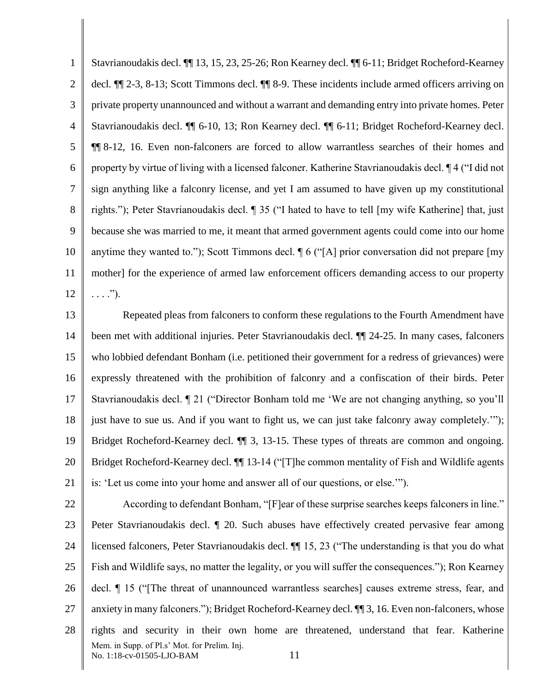1 2 3 4 5 6 7 8 9 10 11 12 Stavrianoudakis decl. ¶¶ 13, 15, 23, 25-26; Ron Kearney decl. ¶¶ 6-11; Bridget Rocheford-Kearney decl. ¶¶ 2-3, 8-13; Scott Timmons decl. ¶¶ 8-9. These incidents include armed officers arriving on private property unannounced and without a warrant and demanding entry into private homes. Peter Stavrianoudakis decl. ¶¶ 6-10, 13; Ron Kearney decl. ¶¶ 6-11; Bridget Rocheford-Kearney decl. ¶¶ 8-12, 16. Even non-falconers are forced to allow warrantless searches of their homes and property by virtue of living with a licensed falconer. Katherine Stavrianoudakis decl. ¶ 4 ("I did not sign anything like a falconry license, and yet I am assumed to have given up my constitutional rights."); Peter Stavrianoudakis decl. ¶ 35 ("I hated to have to tell [my wife Katherine] that, just because she was married to me, it meant that armed government agents could come into our home anytime they wanted to."); Scott Timmons decl. ¶ 6 ("[A] prior conversation did not prepare [my mother] for the experience of armed law enforcement officers demanding access to our property  $\ldots$ .").

13 14 15 16 17 18 19 20 21 Repeated pleas from falconers to conform these regulations to the Fourth Amendment have been met with additional injuries. Peter Stavrianoudakis decl. ¶¶ 24-25. In many cases, falconers who lobbied defendant Bonham (i.e. petitioned their government for a redress of grievances) were expressly threatened with the prohibition of falconry and a confiscation of their birds. Peter Stavrianoudakis decl. ¶ 21 ("Director Bonham told me 'We are not changing anything, so you'll just have to sue us. And if you want to fight us, we can just take falconry away completely.'"); Bridget Rocheford-Kearney decl.  $\P$  3, 13-15. These types of threats are common and ongoing. Bridget Rocheford-Kearney decl.  $\P$  13-14 ("The common mentality of Fish and Wildlife agents is: 'Let us come into your home and answer all of our questions, or else.'").

22 23 24 25 26 27 28 Mem. in Supp. of Pl.s' Mot. for Prelim. Inj. No. 1:18-cv-01505-LJO-BAM 11 According to defendant Bonham, "[F]ear of these surprise searches keeps falconers in line." Peter Stavrianoudakis decl. ¶ 20. Such abuses have effectively created pervasive fear among licensed falconers, Peter Stavrianoudakis decl. ¶¶ 15, 23 ("The understanding is that you do what Fish and Wildlife says, no matter the legality, or you will suffer the consequences."); Ron Kearney decl. ¶ 15 ("[The threat of unannounced warrantless searches] causes extreme stress, fear, and anxiety in many falconers."); Bridget Rocheford-Kearney decl. ¶¶ 3, 16. Even non-falconers, whose rights and security in their own home are threatened, understand that fear. Katherine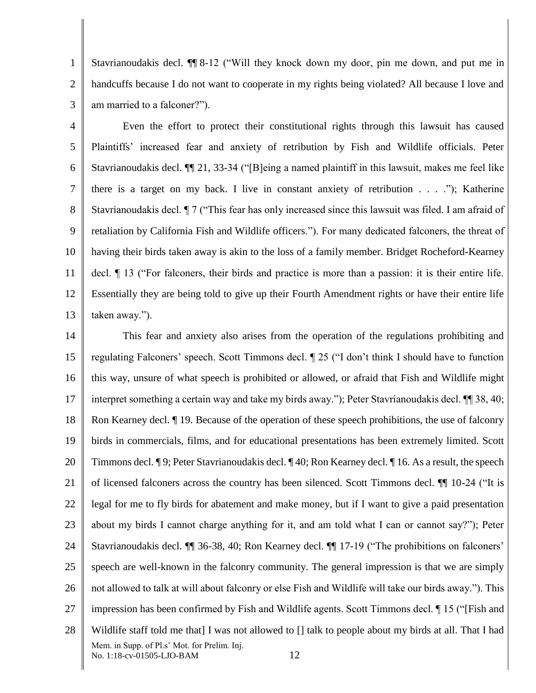1 2 3 Stavrianoudakis decl. ¶¶ 8-12 ("Will they knock down my door, pin me down, and put me in handcuffs because I do not want to cooperate in my rights being violated? All because I love and am married to a falconer?").

4 5 6 7 8 9 10 11 12 13 Even the effort to protect their constitutional rights through this lawsuit has caused Plaintiffs' increased fear and anxiety of retribution by Fish and Wildlife officials. Peter Stavrianoudakis decl. ¶¶ 21, 33-34 ("[B]eing a named plaintiff in this lawsuit, makes me feel like there is a target on my back. I live in constant anxiety of retribution . . . ."); Katherine Stavrianoudakis decl. ¶ 7 ("This fear has only increased since this lawsuit was filed. I am afraid of retaliation by California Fish and Wildlife officers."). For many dedicated falconers, the threat of having their birds taken away is akin to the loss of a family member. Bridget Rocheford-Kearney decl. ¶ 13 ("For falconers, their birds and practice is more than a passion: it is their entire life. Essentially they are being told to give up their Fourth Amendment rights or have their entire life taken away.").

14 15 16 17 18 19 20 21 22 23 24 25 26 27 28 Mem. in Supp. of Pl.s' Mot. for Prelim. Inj. No. 1:18-cv-01505-LJO-BAM 12 This fear and anxiety also arises from the operation of the regulations prohibiting and regulating Falconers' speech. Scott Timmons decl. ¶ 25 ("I don't think I should have to function this way, unsure of what speech is prohibited or allowed, or afraid that Fish and Wildlife might interpret something a certain way and take my birds away."); Peter Stavrianoudakis decl. ¶¶ 38, 40; Ron Kearney decl. ¶ 19. Because of the operation of these speech prohibitions, the use of falconry birds in commercials, films, and for educational presentations has been extremely limited. Scott Timmons decl. ¶ 9; Peter Stavrianoudakis decl. ¶ 40; Ron Kearney decl. ¶ 16. As a result, the speech of licensed falconers across the country has been silenced. Scott Timmons decl. ¶¶ 10-24 ("It is legal for me to fly birds for abatement and make money, but if I want to give a paid presentation about my birds I cannot charge anything for it, and am told what I can or cannot say?"); Peter Stavrianoudakis decl. ¶¶ 36-38, 40; Ron Kearney decl. ¶¶ 17-19 ("The prohibitions on falconers' speech are well-known in the falconry community. The general impression is that we are simply not allowed to talk at will about falconry or else Fish and Wildlife will take our birds away."). This impression has been confirmed by Fish and Wildlife agents. Scott Timmons decl. ¶ 15 ("[Fish and Wildlife staff told me that] I was not allowed to [] talk to people about my birds at all. That I had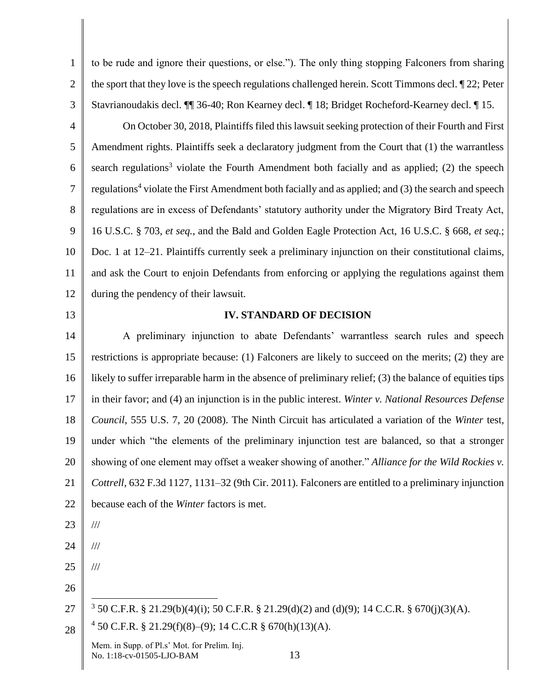1 2 3 to be rude and ignore their questions, or else."). The only thing stopping Falconers from sharing the sport that they love is the speech regulations challenged herein. Scott Timmons decl. ¶ 22; Peter Stavrianoudakis decl. ¶¶ 36-40; Ron Kearney decl. ¶ 18; Bridget Rocheford-Kearney decl. ¶ 15.

4 5 6 7 8 9 10 11 12 On October 30, 2018, Plaintiffs filed this lawsuit seeking protection of their Fourth and First Amendment rights. Plaintiffs seek a declaratory judgment from the Court that (1) the warrantless search regulations<sup>3</sup> violate the Fourth Amendment both facially and as applied; (2) the speech regulations<sup>4</sup> violate the First Amendment both facially and as applied; and (3) the search and speech regulations are in excess of Defendants' statutory authority under the Migratory Bird Treaty Act, 16 U.S.C. § 703, *et seq.*, and the Bald and Golden Eagle Protection Act, 16 U.S.C. § 668, *et seq.*; Doc. 1 at 12–21. Plaintiffs currently seek a preliminary injunction on their constitutional claims, and ask the Court to enjoin Defendants from enforcing or applying the regulations against them during the pendency of their lawsuit.

13

#### **IV. STANDARD OF DECISION**

14 15 16 17 18 19 20 21 22 A preliminary injunction to abate Defendants' warrantless search rules and speech restrictions is appropriate because: (1) Falconers are likely to succeed on the merits; (2) they are likely to suffer irreparable harm in the absence of preliminary relief; (3) the balance of equities tips in their favor; and (4) an injunction is in the public interest. *Winter v. National Resources Defense Council*, 555 U.S. 7, 20 (2008). The Ninth Circuit has articulated a variation of the *Winter* test, under which "the elements of the preliminary injunction test are balanced, so that a stronger showing of one element may offset a weaker showing of another." *Alliance for the Wild Rockies v. Cottrell*, 632 F.3d 1127, 1131–32 (9th Cir. 2011). Falconers are entitled to a preliminary injunction because each of the *Winter* factors is met. ///

23

///

///

- 24
- 25 26
- 27  $\overline{a}$ <sup>3</sup> 50 C.F.R. § 21.29(b)(4)(i); 50 C.F.R. § 21.29(d)(2) and (d)(9); 14 C.C.R. § 670(j)(3)(A).
- 28 4 50 C.F.R. § 21.29(f)(8)–(9); 14 C.C.R § 670(h)(13)(A).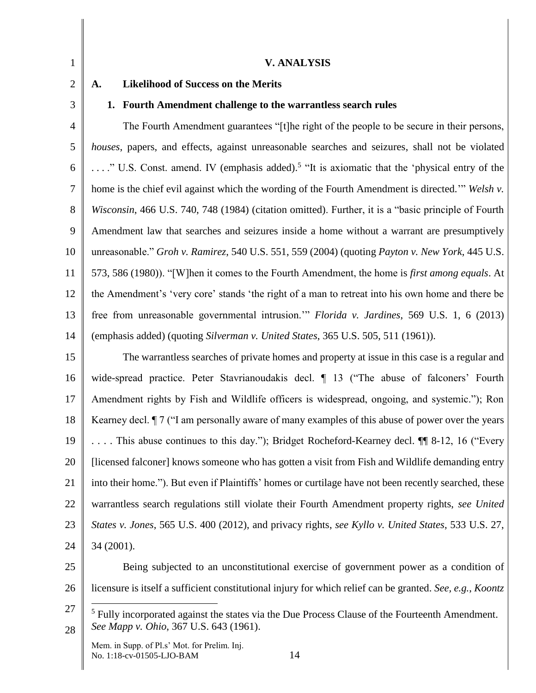| 1              | <b>V. ANALYSIS</b>                                                                                                                          |
|----------------|---------------------------------------------------------------------------------------------------------------------------------------------|
| $\overline{2}$ | <b>Likelihood of Success on the Merits</b><br>A.                                                                                            |
| 3              | 1. Fourth Amendment challenge to the warrantless search rules                                                                               |
| $\overline{4}$ | The Fourth Amendment guarantees "[t]he right of the people to be secure in their persons,                                                   |
| 5              | houses, papers, and effects, against unreasonable searches and seizures, shall not be violated                                              |
| 6              | " U.S. Const. amend. IV (emphasis added). <sup>5</sup> "It is axiomatic that the 'physical entry of the                                     |
| $\overline{7}$ | home is the chief evil against which the wording of the Fourth Amendment is directed." Welsh v.                                             |
| 8              | Wisconsin, 466 U.S. 740, 748 (1984) (citation omitted). Further, it is a "basic principle of Fourth                                         |
| 9              | Amendment law that searches and seizures inside a home without a warrant are presumptively                                                  |
| 10             | unreasonable." Groh v. Ramirez, 540 U.S. 551, 559 (2004) (quoting Payton v. New York, 445 U.S.                                              |
| 11             | 573, 586 (1980)). "[W] hen it comes to the Fourth Amendment, the home is <i>first among equals</i> . At                                     |
| 12             | the Amendment's 'very core' stands 'the right of a man to retreat into his own home and there be                                            |
| 13             | free from unreasonable governmental intrusion." Florida v. Jardines, 569 U.S. 1, 6 (2013)                                                   |
| 14             | (emphasis added) (quoting Silverman v. United States, 365 U.S. 505, 511 (1961)).                                                            |
| 15             | The warrantless searches of private homes and property at issue in this case is a regular and                                               |
| 16             | wide-spread practice. Peter Stavrianoudakis decl. 1 13 ("The abuse of falconers' Fourth                                                     |
| 17             | Amendment rights by Fish and Wildlife officers is widespread, ongoing, and systemic."); Ron                                                 |
| 18             | Kearney decl. <i>I</i> 7 ("I am personally aware of many examples of this abuse of power over the years                                     |
| 19             | This abuse continues to this day."); Bridget Rocheford-Kearney decl. II 8-12, 16 ("Every")                                                  |
| 20             | [licensed falconer] knows someone who has gotten a visit from Fish and Wildlife demanding entry                                             |
| 21             | into their home."). But even if Plaintiffs' homes or curtilage have not been recently searched, these                                       |
| 22             | warrantless search regulations still violate their Fourth Amendment property rights, see United                                             |
| 23             | States v. Jones, 565 U.S. 400 (2012), and privacy rights, see Kyllo v. United States, 533 U.S. 27,                                          |
| 24             | 34 (2001).                                                                                                                                  |
| 25             | Being subjected to an unconstitutional exercise of government power as a condition of                                                       |
| 26             | licensure is itself a sufficient constitutional injury for which relief can be granted. See, e.g., Koontz                                   |
| 27<br>28       | $5$ Fully incorporated against the states via the Due Process Clause of the Fourteenth Amendment.<br>See Mapp v. Ohio, 367 U.S. 643 (1961). |
|                | Mem. in Supp. of Pl.s' Mot. for Prelim. Inj.<br>14<br>No. 1:18-cv-01505-LJO-BAM                                                             |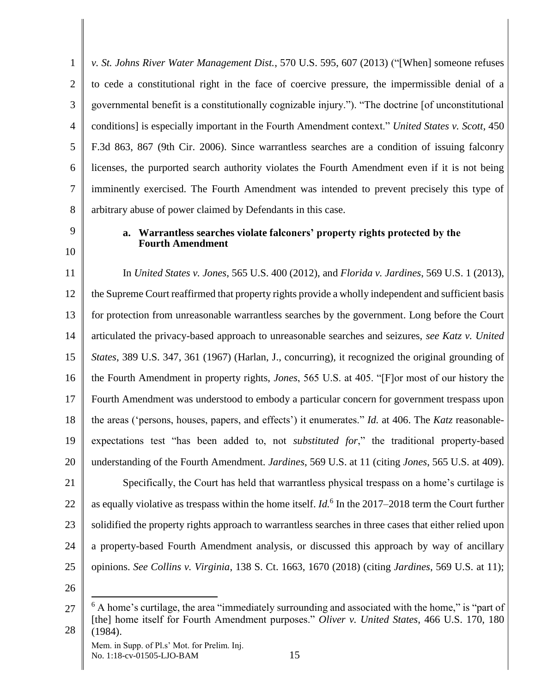1 2 3 4 5 6 7 8 *v. St. Johns River Water Management Dist.*, 570 U.S. 595, 607 (2013) ("[When] someone refuses to cede a constitutional right in the face of coercive pressure, the impermissible denial of a governmental benefit is a constitutionally cognizable injury."). "The doctrine [of unconstitutional conditions] is especially important in the Fourth Amendment context." *United States v. Scott*, 450 F.3d 863, 867 (9th Cir. 2006). Since warrantless searches are a condition of issuing falconry licenses, the purported search authority violates the Fourth Amendment even if it is not being imminently exercised. The Fourth Amendment was intended to prevent precisely this type of arbitrary abuse of power claimed by Defendants in this case.

9 10

## **a. Warrantless searches violate falconers' property rights protected by the Fourth Amendment**

11 12 13 14 15 16 17 18 19 20 21 22 23 In *United States v. Jones*, 565 U.S. 400 (2012), and *Florida v. Jardines*, 569 U.S. 1 (2013), the Supreme Court reaffirmed that property rights provide a wholly independent and sufficient basis for protection from unreasonable warrantless searches by the government. Long before the Court articulated the privacy-based approach to unreasonable searches and seizures, *see Katz v. United States*, 389 U.S. 347, 361 (1967) (Harlan, J., concurring), it recognized the original grounding of the Fourth Amendment in property rights, *Jones*, 565 U.S. at 405. "[F]or most of our history the Fourth Amendment was understood to embody a particular concern for government trespass upon the areas ('persons, houses, papers, and effects') it enumerates." *Id.* at 406. The *Katz* reasonableexpectations test "has been added to, not *substituted for*," the traditional property-based understanding of the Fourth Amendment. *Jardines*, 569 U.S. at 11 (citing *Jones*, 565 U.S. at 409). Specifically, the Court has held that warrantless physical trespass on a home's curtilage is as equally violative as trespass within the home itself. *Id.*<sup>6</sup> In the 2017–2018 term the Court further solidified the property rights approach to warrantless searches in three cases that either relied upon

25

24

26

 $\overline{a}$ 

a property-based Fourth Amendment analysis, or discussed this approach by way of ancillary

opinions. *See Collins v. Virginia*, 138 S. Ct. 1663, 1670 (2018) (citing *Jardines*, 569 U.S. at 11);

<sup>27</sup> 28  $6$  A home's curtilage, the area "immediately surrounding and associated with the home," is "part of [the] home itself for Fourth Amendment purposes." *Oliver v. United States*, 466 U.S. 170, 180 (1984).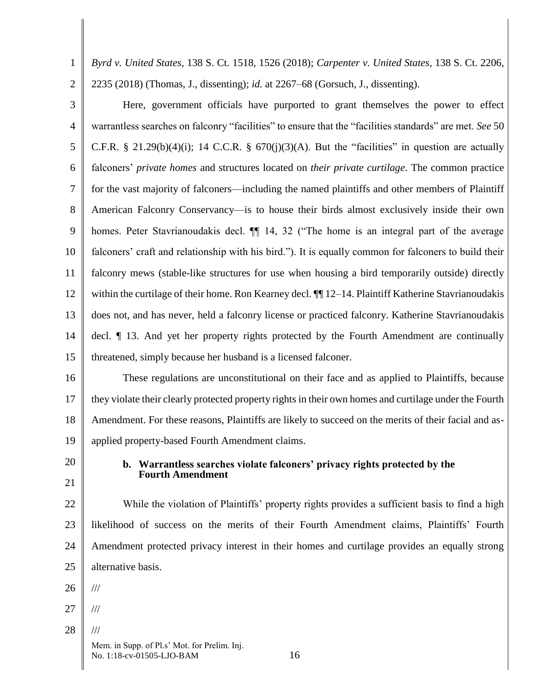1 2 *Byrd v. United States*, 138 S. Ct. 1518, 1526 (2018); *Carpenter v. United States*, 138 S. Ct. 2206, 2235 (2018) (Thomas, J., dissenting); *id.* at 2267–68 (Gorsuch, J., dissenting).

3 4 5 6 7 8 9 10 11 12 13 14 15 Here, government officials have purported to grant themselves the power to effect warrantless searches on falconry "facilities" to ensure that the "facilities standards" are met. *See* 50 C.F.R. § 21.29(b)(4)(i); 14 C.C.R. §  $670(j)(3)(A)$ . But the "facilities" in question are actually falconers' *private homes* and structures located on *their private curtilage*. The common practice for the vast majority of falconers—including the named plaintiffs and other members of Plaintiff American Falconry Conservancy—is to house their birds almost exclusively inside their own homes. Peter Stavrianoudakis decl.  $\P$  14, 32 ("The home is an integral part of the average falconers' craft and relationship with his bird."). It is equally common for falconers to build their falconry mews (stable-like structures for use when housing a bird temporarily outside) directly within the curtilage of their home. Ron Kearney decl.  $\P$  12–14. Plaintiff Katherine Stavrianoudakis does not, and has never, held a falconry license or practiced falconry. Katherine Stavrianoudakis decl. ¶ 13. And yet her property rights protected by the Fourth Amendment are continually threatened, simply because her husband is a licensed falconer.

16 17 18 19 These regulations are unconstitutional on their face and as applied to Plaintiffs, because they violate their clearly protected property rights in their own homes and curtilage under the Fourth Amendment. For these reasons, Plaintiffs are likely to succeed on the merits of their facial and asapplied property-based Fourth Amendment claims.

20 21

# **b. Warrantless searches violate falconers' privacy rights protected by the Fourth Amendment**

22 23 24 25 While the violation of Plaintiffs' property rights provides a sufficient basis to find a high likelihood of success on the merits of their Fourth Amendment claims, Plaintiffs' Fourth Amendment protected privacy interest in their homes and curtilage provides an equally strong alternative basis.

26 ///

- 27 ///
- 28 ///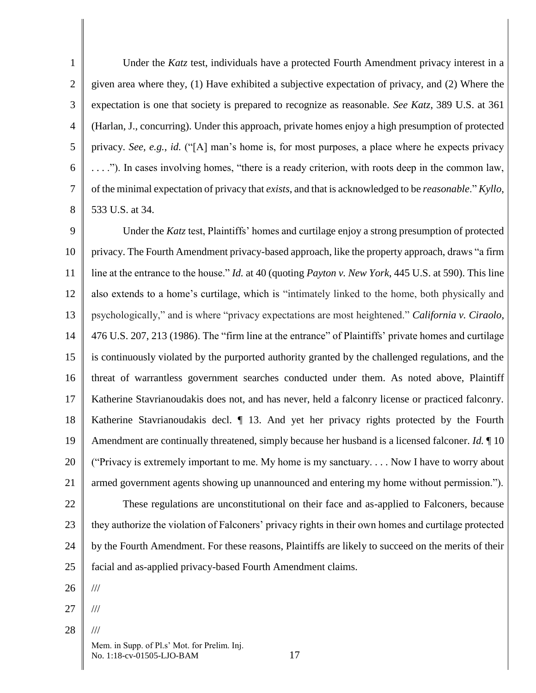1 2 3 4 5 6 7 8 Under the *Katz* test, individuals have a protected Fourth Amendment privacy interest in a given area where they, (1) Have exhibited a subjective expectation of privacy, and (2) Where the expectation is one that society is prepared to recognize as reasonable. *See Katz*, 389 U.S. at 361 (Harlan, J., concurring). Under this approach, private homes enjoy a high presumption of protected privacy. *See, e.g.*, *id.* ("[A] man's home is, for most purposes, a place where he expects privacy . . . ."). In cases involving homes, "there is a ready criterion, with roots deep in the common law, of the minimal expectation of privacy that *exists*, and that is acknowledged to be *reasonable*." *Kyllo*, 533 U.S. at 34.

9 10 11 12 13 14 15 16 17 18 19 20 21 22 23 24 25 Under the *Katz* test, Plaintiffs' homes and curtilage enjoy a strong presumption of protected privacy. The Fourth Amendment privacy-based approach, like the property approach, draws "a firm line at the entrance to the house." *Id.* at 40 (quoting *Payton v. New York*, 445 U.S. at 590). This line also extends to a home's curtilage, which is "intimately linked to the home, both physically and psychologically," and is where "privacy expectations are most heightened." *[California v. Ciraolo](https://1.next.westlaw.com/Link/Document/FullText?findType=Y&serNum=1986125998&pubNum=0000708&originatingDoc=Iedaa2cfa960211e2981ea20c4f198a69&refType=RP&originationContext=document&transitionType=DocumentItem&contextData=(sc.UserEnteredCitation))*, [476 U.S. 207, 213 \(1986\).](https://1.next.westlaw.com/Link/Document/FullText?findType=Y&serNum=1986125998&pubNum=0000708&originatingDoc=Iedaa2cfa960211e2981ea20c4f198a69&refType=RP&originationContext=document&transitionType=DocumentItem&contextData=(sc.UserEnteredCitation)) The "firm line at the entrance" of Plaintiffs' private homes and curtilage is continuously violated by the purported authority granted by the challenged regulations, and the threat of warrantless government searches conducted under them. As noted above, Plaintiff Katherine Stavrianoudakis does not, and has never, held a falconry license or practiced falconry. Katherine Stavrianoudakis decl.  $\P$  13. And yet her privacy rights protected by the Fourth Amendment are continually threatened, simply because her husband is a licensed falconer. *Id.* ¶ 10 ("Privacy is extremely important to me. My home is my sanctuary. . . . Now I have to worry about armed government agents showing up unannounced and entering my home without permission."). These regulations are unconstitutional on their face and as-applied to Falconers, because they authorize the violation of Falconers' privacy rights in their own homes and curtilage protected by the Fourth Amendment. For these reasons, Plaintiffs are likely to succeed on the merits of their facial and as-applied privacy-based Fourth Amendment claims.

26

///

///

///

- 27
- 28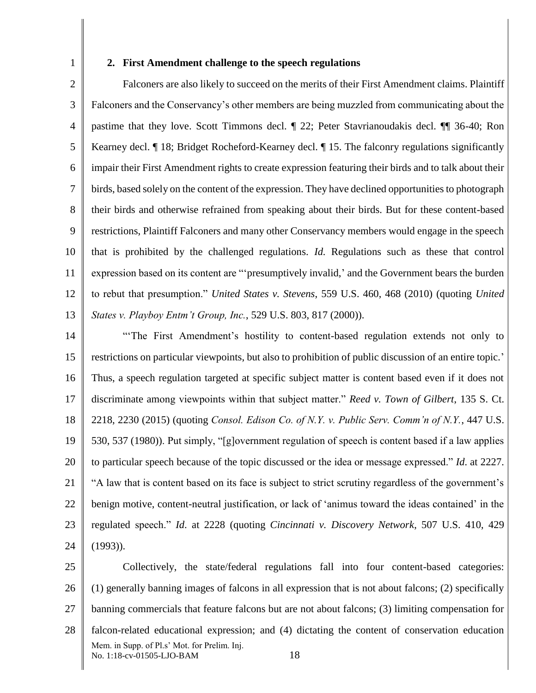1

#### **2. First Amendment challenge to the speech regulations**

2 3 4 5 6 7 8 9 10 11 12 13 Falconers are also likely to succeed on the merits of their First Amendment claims. Plaintiff Falconers and the Conservancy's other members are being muzzled from communicating about the pastime that they love. Scott Timmons decl. ¶ 22; Peter Stavrianoudakis decl. ¶¶ 36-40; Ron Kearney decl. ¶ 18; Bridget Rocheford-Kearney decl. ¶ 15. The falconry regulations significantly impair their First Amendment rights to create expression featuring their birds and to talk about their birds, based solely on the content of the expression. They have declined opportunities to photograph their birds and otherwise refrained from speaking about their birds. But for these content-based restrictions, Plaintiff Falconers and many other Conservancy members would engage in the speech that is prohibited by the challenged regulations. *Id.* Regulations such as these that control expression based on its content are "'presumptively invalid,' and the Government bears the burden to rebut that presumption." *United States v. Stevens*, 559 U.S. 460, 468 (2010) (quoting *United States v. Playboy Entm't Group, Inc.*, 529 U.S. 803, 817 (2000)).

- 14 15 16 17 18 19 20 21 22 23 24 "'The First Amendment's hostility to content-based regulation extends not only to restrictions on particular viewpoints, but also to prohibition of public discussion of an entire topic.' Thus, a speech regulation targeted at specific subject matter is content based even if it does not discriminate among viewpoints within that subject matter." *Reed v. Town of Gilbert*, 135 S. Ct. 2218, 2230 (2015) (quoting *Consol. Edison Co. of N.Y. v. Public Serv. Comm'n of N.Y.*, 447 U.S. 530, 537 (1980)). Put simply, "[g]overnment regulation of speech is content based if a law applies to particular speech because of the topic discussed or the idea or message expressed." *Id*. at 2227. "A law that is content based on its face is subject to strict scrutiny regardless of the government's benign motive, content-neutral justification, or lack of 'animus toward the ideas contained' in the regulated speech." *Id*. at 2228 (quoting *Cincinnati v. Discovery Network*, 507 U.S. 410, 429 (1993)).
- 25 26 27 28 Mem. in Supp. of Pl.s' Mot. for Prelim. Inj. No. 1:18-cv-01505-LJO-BAM 18 Collectively, the state/federal regulations fall into four content-based categories: (1) generally banning images of falcons in all expression that is not about falcons; (2) specifically banning commercials that feature falcons but are not about falcons; (3) limiting compensation for falcon-related educational expression; and (4) dictating the content of conservation education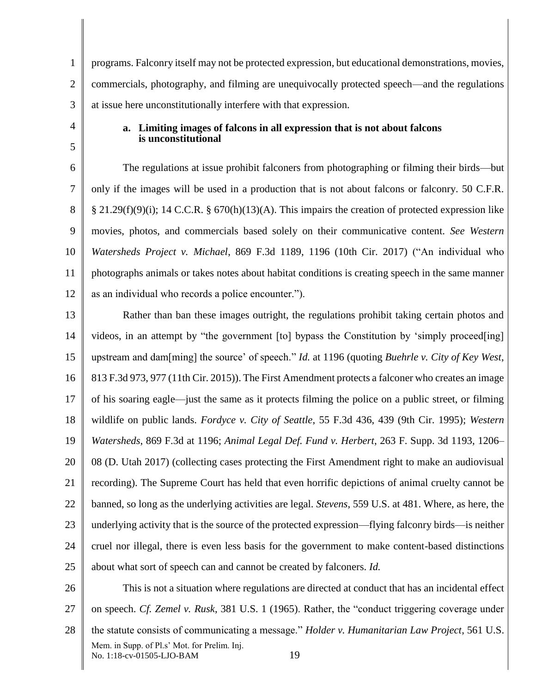1 2 3 programs. Falconry itself may not be protected expression, but educational demonstrations, movies, commercials, photography, and filming are unequivocally protected speech—and the regulations at issue here unconstitutionally interfere with that expression.

# **a. Limiting images of falcons in all expression that is not about falcons is unconstitutional**

4

5

6 7 8 9 10 11 12 The regulations at issue prohibit falconers from photographing or filming their birds—but only if the images will be used in a production that is not about falcons or falconry. 50 C.F.R.  $§$  21.29(f)(9)(i); 14 C.C.R. § 670(h)(13)(A). This impairs the creation of protected expression like movies, photos, and commercials based solely on their communicative content. *See Western Watersheds Project v. Michael*, 869 F.3d 1189, 1196 (10th Cir. 2017) ("An individual who photographs animals or takes notes about habitat conditions is creating speech in the same manner as an individual who records a police encounter.").

13 14 15 16 17 18 19 20 21 22 23 24 25 Rather than ban these images outright, the regulations prohibit taking certain photos and videos, in an attempt by "the government [to] bypass the Constitution by 'simply proceed[ing] upstream and dam[ming] the source' of speech." *Id.* at 1196 (quoting *Buehrle v. City of Key West*, 813 F.3d 973, 977 (11th Cir. 2015)). The First Amendment protects a falconer who creates an image of his soaring eagle—just the same as it protects filming the police on a public street, or filming wildlife on public lands. *Fordyce v. City of Seattle*, 55 F.3d 436, 439 (9th Cir. 1995); *Western Watersheds*, 869 F.3d at 1196; *Animal Legal Def. Fund v. Herbert*, 263 F. Supp. 3d 1193, 1206– 08 (D. Utah 2017) (collecting cases protecting the First Amendment right to make an audiovisual recording). The Supreme Court has held that even horrific depictions of animal cruelty cannot be banned, so long as the underlying activities are legal. *Stevens*, 559 U.S. at 481. Where, as here, the underlying activity that is the source of the protected expression—flying falconry birds—is neither cruel nor illegal, there is even less basis for the government to make content-based distinctions about what sort of speech can and cannot be created by falconers. *Id.* 

26 27 28 Mem. in Supp. of Pl.s' Mot. for Prelim. Inj. No. 1:18-cv-01505-LJO-BAM 19 This is not a situation where regulations are directed at conduct that has an incidental effect on speech. *Cf. Zemel v. Rusk*, 381 U.S. 1 (1965). Rather, the "conduct triggering coverage under the statute consists of communicating a message." *Holder v. Humanitarian Law Project*, 561 U.S.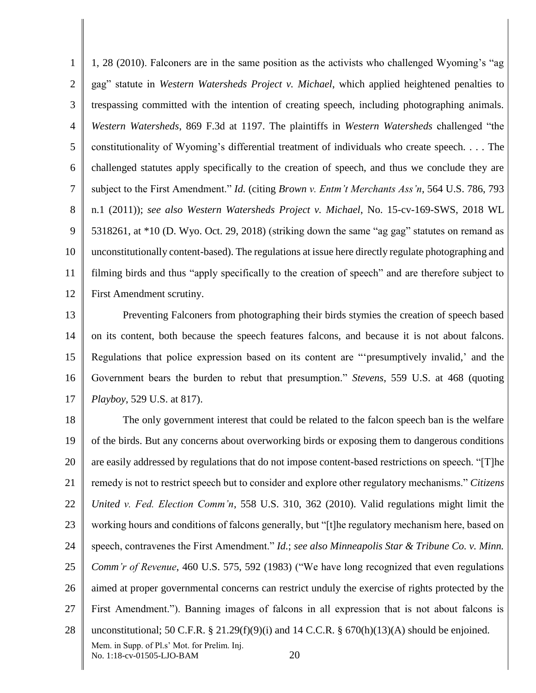1 2 3 4 5 6 7 8 9 10 11 12 1, 28 (2010). Falconers are in the same position as the activists who challenged Wyoming's "ag gag" statute in *Western Watersheds Project v. Michael*, which applied heightened penalties to trespassing committed with the intention of creating speech, including photographing animals. *Western Watersheds*, 869 F.3d at 1197. The plaintiffs in *Western Watersheds* challenged "the constitutionality of Wyoming's differential treatment of individuals who create speech. . . . The challenged statutes apply specifically to the creation of speech, and thus we conclude they are subject to the First Amendment." *Id.* (citing *Brown v. Entm't Merchants Ass'n*, 564 U.S. 786, 793 n.1 (2011)); *see also Western Watersheds Project v. Michael*, No. 15-cv-169-SWS, 2018 WL 5318261, at \*10 (D. Wyo. Oct. 29, 2018) (striking down the same "ag gag" statutes on remand as unconstitutionally content-based). The regulations at issue here directly regulate photographing and filming birds and thus "apply specifically to the creation of speech" and are therefore subject to First Amendment scrutiny.

13 14 15 16 17 Preventing Falconers from photographing their birds stymies the creation of speech based on its content, both because the speech features falcons, and because it is not about falcons. Regulations that police expression based on its content are "'presumptively invalid,' and the Government bears the burden to rebut that presumption." *Stevens*, 559 U.S. at 468 (quoting *Playboy*, 529 U.S. at 817).

18 19 20 21 22 23 24 25 26 27 28 Mem. in Supp. of Pl.s' Mot. for Prelim. Inj. No. 1:18-cv-01505-LJO-BAM 20 The only government interest that could be related to the falcon speech ban is the welfare of the birds. But any concerns about overworking birds or exposing them to dangerous conditions are easily addressed by regulations that do not impose content-based restrictions on speech. "[T]he remedy is not to restrict speech but to consider and explore other regulatory mechanisms." *Citizens United v. Fed. Election Comm'n*, 558 U.S. 310, 362 (2010). Valid regulations might limit the working hours and conditions of falcons generally, but "[t]he regulatory mechanism here, based on speech, contravenes the First Amendment." *Id.*; *see also Minneapolis Star & Tribune Co. v. Minn. Comm'r of Revenue*, 460 U.S. 575, 592 (1983) ("We have long recognized that even regulations aimed at proper governmental concerns can restrict unduly the exercise of rights protected by the First Amendment."). Banning images of falcons in all expression that is not about falcons is unconstitutional; 50 C.F.R.  $\S 21.29(f)(9)(i)$  and 14 C.C.R.  $\S 670(h)(13)(A)$  should be enjoined.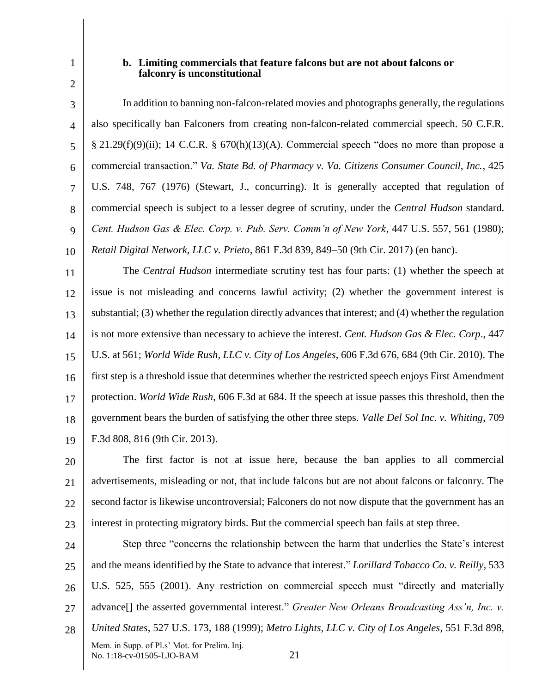2

1

#### **b. Limiting commercials that feature falcons but are not about falcons or falconry is unconstitutional**

3 4 5 6 7 8 9 10 In addition to banning non-falcon-related movies and photographs generally, the regulations also specifically ban Falconers from creating non-falcon-related commercial speech. 50 C.F.R.  $§$  21.29(f)(9)(ii); 14 C.C.R. § 670(h)(13)(A). Commercial speech "does no more than propose a commercial transaction." *Va. State Bd. of Pharmacy v. Va. Citizens Consumer Council, Inc.*, 425 U.S. 748, 767 (1976) (Stewart, J., concurring). It is generally accepted that regulation of commercial speech is subject to a lesser degree of scrutiny, under the *Central Hudson* standard. *Cent. Hudson Gas & Elec. Corp. v. Pub. Serv. Comm'n of New York*, 447 U.S. 557, 561 (1980); *Retail Digital Network, LLC v. Prieto*, 861 F.3d 839, 849–50 (9th Cir. 2017) (en banc).

11 12 13 14 15 16 17 18 19 The *Central Hudson* intermediate scrutiny test has four parts: (1) whether the speech at issue is not misleading and concerns lawful activity; (2) whether the government interest is substantial; (3) whether the regulation directly advances that interest; and (4) whether the regulation is not more extensive than necessary to achieve the interest. *Cent. Hudson Gas & Elec. Corp*., 447 U.S. at 561; *World Wide Rush, LLC v. City of Los Angeles*, 606 F.3d 676, 684 (9th Cir. 2010). The first step is a threshold issue that determines whether the restricted speech enjoys First Amendment protection. *World Wide Rush*, 606 F.3d at 684. If the speech at issue passes this threshold, then the government bears the burden of satisfying the other three steps. *Valle Del Sol Inc. v. Whiting*, 709 F.3d 808, 816 (9th Cir. 2013).

20 21 22 23 The first factor is not at issue here, because the ban applies to all commercial advertisements, misleading or not, that include falcons but are not about falcons or falconry. The second factor is likewise uncontroversial; Falconers do not now dispute that the government has an interest in protecting migratory birds. But the commercial speech ban fails at step three.

24  $25$ 26 27 28 Mem. in Supp. of Pl.s' Mot. for Prelim. Inj. No. 1:18-cv-01505-LJO-BAM 21 Step three "concerns the relationship between the harm that underlies the State's interest and the means identified by the State to advance that interest." *Lorillard Tobacco Co. v. Reilly*, 533 U.S. 525, 555 (2001). Any restriction on commercial speech must "directly and materially advance[] the asserted governmental interest." *Greater New Orleans Broadcasting Ass'n, Inc. v. United States*, 527 U.S. 173, 188 (1999); *Metro Lights, LLC v. City of Los Angeles*, 551 F.3d 898,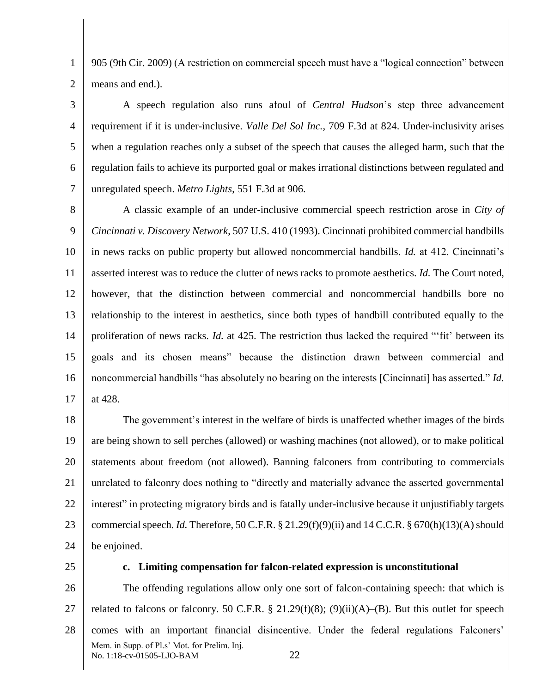905 (9th Cir. 2009) (A restriction on commercial speech must have a "logical connection" between means and end.).

3 4 5 6 7 A speech regulation also runs afoul of *Central Hudson*'s step three advancement requirement if it is under-inclusive. *Valle Del Sol Inc.*, 709 F.3d at 824. Under-inclusivity arises when a regulation reaches only a subset of the speech that causes the alleged harm, such that the regulation fails to achieve its purported goal or makes irrational distinctions between regulated and unregulated speech. *Metro Lights*, 551 F.3d at 906.

8 9 10 11 12 13 14 15 16 17 A classic example of an under-inclusive commercial speech restriction arose in *City of Cincinnati v. Discovery Network*, 507 U.S. 410 (1993). Cincinnati prohibited commercial handbills in news racks on public property but allowed noncommercial handbills. *Id.* at 412. Cincinnati's asserted interest was to reduce the clutter of news racks to promote aesthetics. *Id.* The Court noted, however, that the distinction between commercial and noncommercial handbills bore no relationship to the interest in aesthetics, since both types of handbill contributed equally to the proliferation of news racks. *Id.* at 425. The restriction thus lacked the required "'fit' between its goals and its chosen means" because the distinction drawn between commercial and noncommercial handbills "has absolutely no bearing on the interests [Cincinnati] has asserted." *Id.* at 428.

18 19 20 21 22 23 24 The government's interest in the welfare of birds is unaffected whether images of the birds are being shown to sell perches (allowed) or washing machines (not allowed), or to make political statements about freedom (not allowed). Banning falconers from contributing to commercials unrelated to falconry does nothing to "directly and materially advance the asserted governmental interest" in protecting migratory birds and is fatally under-inclusive because it unjustifiably targets commercial speech. *Id.* Therefore, 50 C.F.R.  $\S 21.29(f)(9)(ii)$  and 14 C.C.R.  $\S 670(h)(13)(A)$  should be enjoined.

25

1

2

#### **c. Limiting compensation for falcon-related expression is unconstitutional**

26 27 28 Mem. in Supp. of Pl.s' Mot. for Prelim. Inj. No. 1:18-cv-01505-LJO-BAM 22 The offending regulations allow only one sort of falcon-containing speech: that which is related to falcons or falconry. 50 C.F.R. § 21.29(f)(8); (9)(ii)(A)–(B). But this outlet for speech comes with an important financial disincentive. Under the federal regulations Falconers'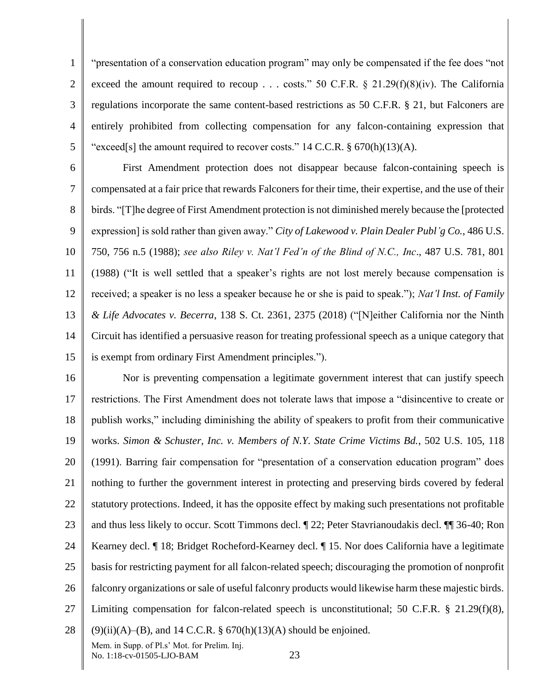1 2 3 4 5 "presentation of a conservation education program" may only be compensated if the fee does "not exceed the amount required to recoup . . . costs." 50 C.F.R.  $\S$  21.29(f)(8)(iv). The California regulations incorporate the same content-based restrictions as 50 C.F.R. § 21, but Falconers are entirely prohibited from collecting compensation for any falcon-containing expression that "exceed[s] the amount required to recover costs." 14 C.C.R.  $\S$  670(h)(13)(A).

6 7 8 9 10 11 12 13 14 15 First Amendment protection does not disappear because falcon-containing speech is compensated at a fair price that rewards Falconers for their time, their expertise, and the use of their birds. "[T]he degree of First Amendment protection is not diminished merely because the [protected expression] is sold rather than given away." *City of Lakewood v. Plain Dealer Publ'g Co.*, 486 U.S. 750, 756 n.5 (1988); *see also Riley v. Nat'l Fed'n of the Blind of N.C., Inc*., 487 U.S. 781, 801 (1988) ("It is well settled that a speaker's rights are not lost merely because compensation is received; a speaker is no less a speaker because he or she is paid to speak."); *Nat'l Inst. of Family & Life Advocates v. Becerra*, 138 S. Ct. 2361, 2375 (2018) ("[N]either California nor the Ninth Circuit has identified a persuasive reason for treating professional speech as a unique category that is exempt from ordinary First Amendment principles.").

16 17 18 19 20 21 22 23 24 25 26 27 28 Mem. in Supp. of Pl.s' Mot. for Prelim. Inj. Nor is preventing compensation a legitimate government interest that can justify speech restrictions. The First Amendment does not tolerate laws that impose a "disincentive to create or publish works," including diminishing the ability of speakers to profit from their communicative works. *Simon & Schuster, Inc. v. Members of N.Y. State Crime Victims Bd.*, 502 U.S. 105, 118 (1991). Barring fair compensation for "presentation of a conservation education program" does nothing to further the government interest in protecting and preserving birds covered by federal statutory protections. Indeed, it has the opposite effect by making such presentations not profitable and thus less likely to occur. Scott Timmons decl. ¶ 22; Peter Stavrianoudakis decl. ¶¶ 36-40; Ron Kearney decl. ¶ 18; Bridget Rocheford-Kearney decl. ¶ 15. Nor does California have a legitimate basis for restricting payment for all falcon-related speech; discouraging the promotion of nonprofit falconry organizations or sale of useful falconry products would likewise harm these majestic birds. Limiting compensation for falcon-related speech is unconstitutional; 50 C.F.R. § 21.29(f)(8),  $(9)(ii)(A)$ –(B), and 14 C.C.R. § 670(h)(13)(A) should be enjoined.

No. 1:18-cv-01505-LJO-BAM 23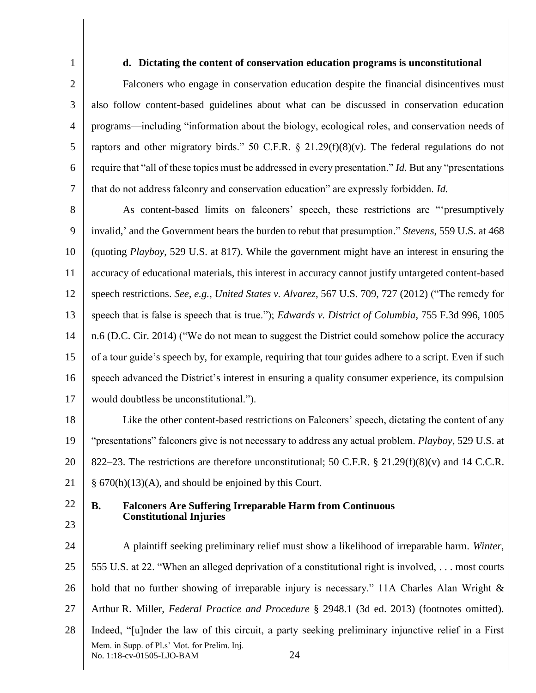## **d. Dictating the content of conservation education programs is unconstitutional**

Falconers who engage in conservation education despite the financial disincentives must also follow content-based guidelines about what can be discussed in conservation education programs—including "information about the biology, ecological roles, and conservation needs of raptors and other migratory birds." 50 C.F.R.  $\S$  21.29(f)(8)(v). The federal regulations do not require that "all of these topics must be addressed in every presentation." *Id.* But any "presentations that do not address falconry and conservation education" are expressly forbidden. *Id.*

8 9 10 11 12 13 14 15 16 17 As content-based limits on falconers' speech, these restrictions are "'presumptively invalid,' and the Government bears the burden to rebut that presumption." *Stevens*, 559 U.S. at 468 (quoting *Playboy*, 529 U.S. at 817). While the government might have an interest in ensuring the accuracy of educational materials, this interest in accuracy cannot justify untargeted content-based speech restrictions. *See, e.g.*, *United States v. Alvarez*, 567 U.S. 709, 727 (2012) ("The remedy for speech that is false is speech that is true."); *Edwards v. District of Columbia*, 755 F.3d 996, 1005 n.6 (D.C. Cir. 2014) ("We do not mean to suggest the District could somehow police the accuracy of a tour guide's speech by, for example, requiring that tour guides adhere to a script. Even if such speech advanced the District's interest in ensuring a quality consumer experience, its compulsion would doubtless be unconstitutional.").

18 19 20 21 Like the other content-based restrictions on Falconers' speech, dictating the content of any "presentations" falconers give is not necessary to address any actual problem. *Playboy*, 529 U.S. at 822–23. The restrictions are therefore unconstitutional; 50 C.F.R.  $\S$  21.29(f)(8)(v) and 14 C.C.R. § 670(h)(13)(A), and should be enjoined by this Court.

22

# 23

1

2

3

4

5

6

7

# **B. Falconers Are Suffering Irreparable Harm from Continuous Constitutional Injuries**

24 25 26 27 28 Mem. in Supp. of Pl.s' Mot. for Prelim. Inj. No. 1:18-cv-01505-LJO-BAM 24 A plaintiff seeking preliminary relief must show a likelihood of irreparable harm. *Winter*, 555 U.S. at 22. "When an alleged deprivation of a constitutional right is involved, . . . most courts hold that no further showing of irreparable injury is necessary." 11A Charles Alan Wright  $\&$ Arthur R. Miller, *Federal Practice and Procedure* § 2948.1 (3d ed. 2013) (footnotes omitted). Indeed, "[u]nder the law of this circuit, a party seeking preliminary injunctive relief in a First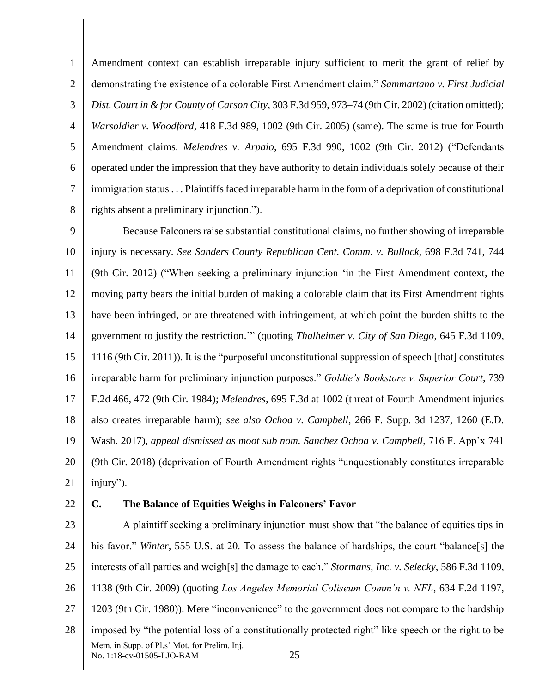1 2 3 4 5 6 7 8 Amendment context can establish irreparable injury sufficient to merit the grant of relief by demonstrating the existence of a colorable First Amendment claim." *Sammartano v. First Judicial Dist. Court in & for County of Carson City*, 303 F.3d 959, 973–74 (9th Cir. 2002) (citation omitted); *Warsoldier v. Woodford*, 418 F.3d 989, 1002 (9th Cir. 2005) (same). The same is true for Fourth Amendment claims. *Melendres v. Arpaio*, 695 F.3d 990, 1002 (9th Cir. 2012) ("Defendants operated under the impression that they have authority to detain individuals solely because of their immigration status . . . Plaintiffs faced irreparable harm in the form of a deprivation of constitutional rights absent a preliminary injunction.").

9 10 11 12 13 14 15 16 17 18 19 20 21 Because Falconers raise substantial constitutional claims, no further showing of irreparable injury is necessary. *See Sanders County Republican Cent. Comm. v. Bullock*, 698 F.3d 741, 744 (9th Cir. 2012) ("When seeking a preliminary injunction 'in the First Amendment context, the moving party bears the initial burden of making a colorable claim that its First Amendment rights have been infringed, or are threatened with infringement, at which point the burden shifts to the government to justify the restriction.'" (quoting *Thalheimer v. City of San Diego*, 645 F.3d 1109, 1116 (9th Cir. 2011)). It is the "purposeful unconstitutional suppression of speech [that] constitutes irreparable harm for preliminary injunction purposes." *Goldie's Bookstore v. Superior Court*, 739 F.2d 466, 472 (9th Cir. 1984); *Melendres*, 695 F.3d at 1002 (threat of Fourth Amendment injuries also creates irreparable harm); *see also Ochoa v. Campbell*, 266 F. Supp. 3d 1237, 1260 (E.D. Wash. 2017), *appeal dismissed as moot sub nom. Sanchez Ochoa v. Campbell*, 716 F. App'x 741 (9th Cir. 2018) (deprivation of Fourth Amendment rights "unquestionably constitutes irreparable injury").

22

# **C. The Balance of Equities Weighs in Falconers' Favor**

23 24 25 26 27 28 Mem. in Supp. of Pl.s' Mot. for Prelim. Inj. No. 1:18-cv-01505-LJO-BAM 25 A plaintiff seeking a preliminary injunction must show that "the balance of equities tips in his favor." *Winter*, 555 U.S. at 20. To assess the balance of hardships, the court "balance[s] the interests of all parties and weigh[s] the damage to each." *Stormans, Inc. v. Selecky*, 586 F.3d 1109, 1138 (9th Cir. 2009) (quoting *Los Angeles Memorial Coliseum Comm'n v. NFL*, 634 F.2d 1197, 1203 (9th Cir. 1980)). Mere "inconvenience" to the government does not compare to the hardship imposed by "the potential loss of a constitutionally protected right" like speech or the right to be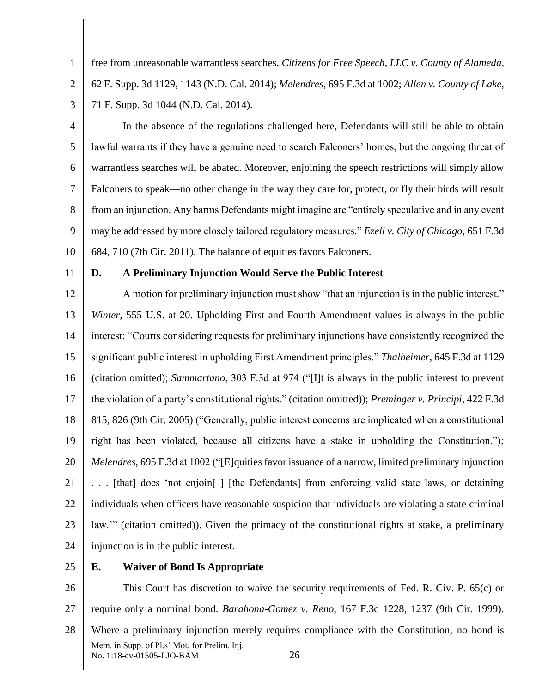free from unreasonable warrantless searches. *Citizens for Free Speech, LLC v. County of Alameda*, 62 F. Supp. 3d 1129, 1143 (N.D. Cal. 2014); *Melendres*, 695 F.3d at 1002; *Allen v. County of Lake*, 71 F. Supp. 3d 1044 (N.D. Cal. 2014).

4 5 6 7 8 9 10 In the absence of the regulations challenged here, Defendants will still be able to obtain lawful warrants if they have a genuine need to search Falconers' homes, but the ongoing threat of warrantless searches will be abated. Moreover, enjoining the speech restrictions will simply allow Falconers to speak—no other change in the way they care for, protect, or fly their birds will result from an injunction. Any harms Defendants might imagine are "entirely speculative and in any event may be addressed by more closely tailored regulatory measures." *Ezell v. City of Chicago*, 651 F.3d 684, 710 (7th Cir. 2011). The balance of equities favors Falconers.

11

1

2

3

## **D. A Preliminary Injunction Would Serve the Public Interest**

12 13 14 15 16 17 18 19 20 21 22 23 24 A motion for preliminary injunction must show "that an injunction is in the public interest." *Winter*, 555 U.S. at 20. Upholding First and Fourth Amendment values is always in the public interest: "Courts considering requests for preliminary injunctions have consistently recognized the significant public interest in upholding First Amendment principles." *Thalheimer*, 645 F.3d at 1129 (citation omitted); *Sammartano*, 303 F.3d at 974 ("[I]t is always in the public interest to prevent the violation of a party's constitutional rights." (citation omitted)); *Preminger v. Principi*, 422 F.3d 815, 826 (9th Cir. 2005) ("Generally, public interest concerns are implicated when a constitutional right has been violated, because all citizens have a stake in upholding the Constitution."); *Melendres*, 695 F.3d at 1002 ("[E]quities favor issuance of a narrow, limited preliminary injunction . . . [that] does 'not enjoin[ ] [the Defendants] from enforcing valid state laws, or detaining individuals when officers have reasonable suspicion that individuals are violating a state criminal law.'" (citation omitted)). Given the primacy of the constitutional rights at stake, a preliminary injunction is in the public interest.

25

#### **E. Waiver of Bond Is Appropriate**

26 27 28 Mem. in Supp. of Pl.s' Mot. for Prelim. Inj. No. 1:18-cv-01505-LJO-BAM 26 This Court has discretion to waive the security requirements of Fed. R. Civ. P. 65(c) or require only a nominal bond. *Barahona-Gomez v. Reno*, 167 F.3d 1228, 1237 (9th Cir. 1999). Where a preliminary injunction merely requires compliance with the Constitution, no bond is